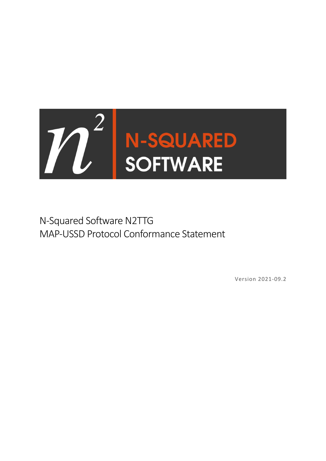

N-Squared Software N2TTG MAP-USSD Protocol Conformance Statement

Version 2021-09.2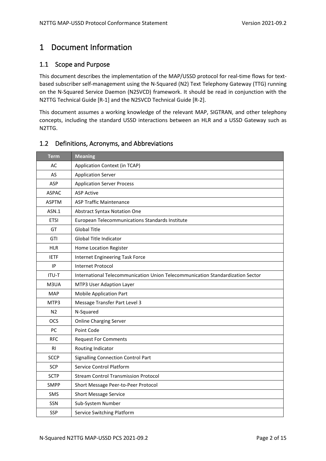# <span id="page-1-0"></span>1 Document Information

# <span id="page-1-1"></span>1.1 Scope and Purpose

This document describes the implementation of the MAP/USSD protocol for real-time flows for textbased subscriber self-management using the N-Squared (N2) Text Telephony Gateway (TTG) running on the N-Squared Service Daemon (N2SVCD) framework. It should be read in conjunction with the N2TTG Technical Guide [R-1] and the N2SVCD Technical Guide [R-2].

This document assumes a working knowledge of the relevant MAP, SIGTRAN, and other telephony concepts, including the standard USSD interactions between an HLR and a USSD Gateway such as N2TTG.

## <span id="page-1-2"></span>1.2 Definitions, Acronyms, and Abbreviations

| <b>Term</b>    | <b>Meaning</b>                                                                 |  |  |
|----------------|--------------------------------------------------------------------------------|--|--|
| AC             | Application Context (in TCAP)                                                  |  |  |
| AS             | <b>Application Server</b>                                                      |  |  |
| ASP            | <b>Application Server Process</b>                                              |  |  |
| <b>ASPAC</b>   | <b>ASP Active</b>                                                              |  |  |
| <b>ASPTM</b>   | <b>ASP Traffic Maintenance</b>                                                 |  |  |
| ASN.1          | <b>Abstract Syntax Notation One</b>                                            |  |  |
| <b>ETSI</b>    | European Telecommunications Standards Institute                                |  |  |
| GT             | <b>Global Title</b>                                                            |  |  |
| GTI            | Global Title Indicator                                                         |  |  |
| <b>HLR</b>     | Home Location Register                                                         |  |  |
| <b>IETF</b>    | Internet Engineering Task Force                                                |  |  |
| IP             | <b>Internet Protocol</b>                                                       |  |  |
| <b>ITU-T</b>   | International Telecommunication Union Telecommunication Standardization Sector |  |  |
| M3UA           | MTP3 User Adaption Layer                                                       |  |  |
| <b>MAP</b>     | <b>Mobile Application Part</b>                                                 |  |  |
| MTP3           | Message Transfer Part Level 3                                                  |  |  |
| N <sub>2</sub> | N-Squared                                                                      |  |  |
| OCS            | <b>Online Charging Server</b>                                                  |  |  |
| <b>PC</b>      | Point Code                                                                     |  |  |
| <b>RFC</b>     | <b>Request For Comments</b>                                                    |  |  |
| <b>RI</b>      | Routing Indicator                                                              |  |  |
| <b>SCCP</b>    | <b>Signalling Connection Control Part</b>                                      |  |  |
| SCP            | Service Control Platform                                                       |  |  |
| <b>SCTP</b>    | <b>Stream Control Transmission Protocol</b>                                    |  |  |
| <b>SMPP</b>    | Short Message Peer-to-Peer Protocol                                            |  |  |
| <b>SMS</b>     | <b>Short Message Service</b>                                                   |  |  |
| SSN            | Sub-System Number                                                              |  |  |
| SSP            | Service Switching Platform                                                     |  |  |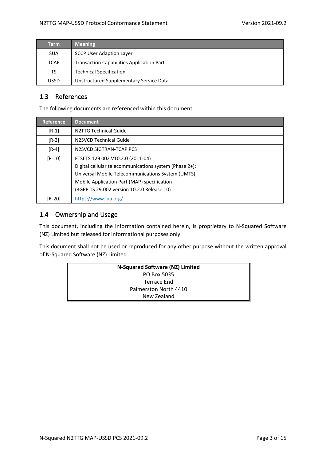| <b>Term</b> | <b>Meaning</b>                                   |  |
|-------------|--------------------------------------------------|--|
| <b>SUA</b>  | <b>SCCP User Adaption Layer</b>                  |  |
| <b>TCAP</b> | <b>Transaction Capabilities Application Part</b> |  |
| TS          | <b>Technical Specification</b>                   |  |
| <b>USSD</b> | Unstructured Supplementary Service Data          |  |

## <span id="page-2-0"></span>1.3 References

The following documents are referenced within this document:

| <b>Reference</b>                                   | <b>Document</b>                                        |  |  |
|----------------------------------------------------|--------------------------------------------------------|--|--|
| $[R-1]$                                            | N2TTG Technical Guide                                  |  |  |
| $[R-2]$                                            | N2SVCD Technical Guide                                 |  |  |
| $[R-4]$                                            | N2SVCD SIGTRAN-TCAP PCS                                |  |  |
| $[R-10]$                                           | ETSI TS 129 002 V10.2.0 (2011-04)                      |  |  |
|                                                    | Digital cellular telecommunications system (Phase 2+); |  |  |
| Universal Mobile Telecommunications System (UMTS); |                                                        |  |  |
| Mobile Application Part (MAP) specification        |                                                        |  |  |
|                                                    | (3GPP TS 29.002 version 10.2.0 Release 10)             |  |  |
| $[R-20]$                                           | https://www.lua.org/                                   |  |  |

# <span id="page-2-1"></span>1.4 Ownership and Usage

This document, including the information contained herein, is proprietary to N-Squared Software (NZ) Limited but released for informational purposes only.

This document shall not be used or reproduced for any other purpose without the written approval of N-Squared Software (NZ) Limited.

| N-Squared Software (NZ) Limited |  |  |
|---------------------------------|--|--|
| PO Box 5035                     |  |  |
| Terrace End                     |  |  |
| Palmerston North 4410           |  |  |
| New Zealand                     |  |  |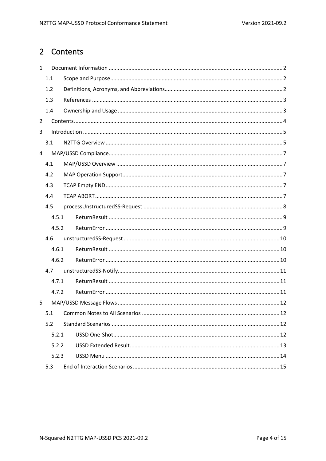# <span id="page-3-0"></span>2 Contents

| $\mathbf{1}$   |       |       |  |  |
|----------------|-------|-------|--|--|
|                | 1.1   |       |  |  |
|                | 1.2   |       |  |  |
|                | 1.3   |       |  |  |
|                | 1.4   |       |  |  |
| $\overline{2}$ |       |       |  |  |
| 3              |       |       |  |  |
|                | 3.1   |       |  |  |
| 4              |       |       |  |  |
|                | 4.1   |       |  |  |
|                | 4.2   |       |  |  |
|                | 4.3   |       |  |  |
|                | 4.4   |       |  |  |
|                | 4.5   |       |  |  |
|                | 4.5.1 |       |  |  |
|                |       | 4.5.2 |  |  |
|                | 4.6   |       |  |  |
|                | 4.6.1 |       |  |  |
|                |       | 4.6.2 |  |  |
|                | 4.7   |       |  |  |
|                | 4.7.1 |       |  |  |
|                |       | 4.7.2 |  |  |
| 5              |       |       |  |  |
|                | 5.1   |       |  |  |
|                | 5.2   |       |  |  |
|                | 5.2.1 |       |  |  |
|                |       | 5.2.2 |  |  |
|                |       | 5.2.3 |  |  |
| 5.3            |       |       |  |  |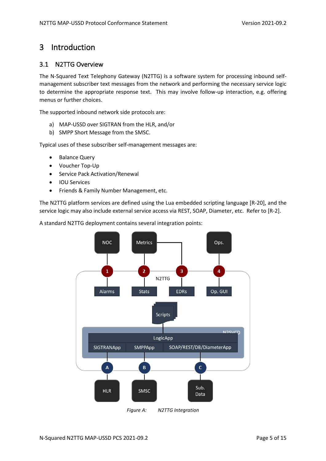# <span id="page-4-0"></span>3 Introduction

### <span id="page-4-1"></span>3.1 N2TTG Overview

The N-Squared Text Telephony Gateway (N2TTG) is a software system for processing inbound selfmanagement subscriber text messages from the network and performing the necessary service logic to determine the appropriate response text. This may involve follow-up interaction, e.g. offering menus or further choices.

The supported inbound network side protocols are:

- a) MAP-USSD over SIGTRAN from the HLR, and/or
- b) SMPP Short Message from the SMSC.

Typical uses of these subscriber self-management messages are:

- Balance Query
- Voucher Top-Up
- Service Pack Activation/Renewal
- IOU Services
- Friends & Family Number Management, etc.

The N2TTG platform services are defined using the Lua embedded scripting language [R-20], and the service logic may also include external service access via REST, SOAP, Diameter, etc. Refer to [R-2].

A standard N2TTG deployment contains several integration points:



*Figure A: N2TTG Integration*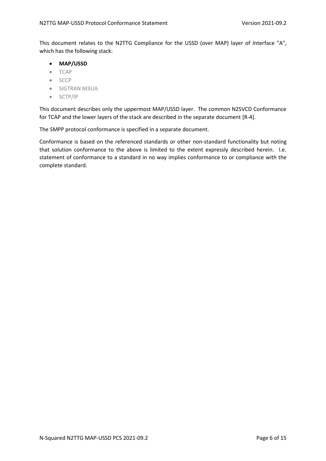This document relates to the N2TTG Compliance for the USSD (over MAP) layer of Interface "A", which has the following stack:

- **MAP/USSD**
- TCAP
- SCCP
- SIGTRAN M3UA
- SCTP/IP

This document describes only the uppermost MAP/USSD layer. The common N2SVCD Conformance for TCAP and the lower layers of the stack are described in the separate document [R-4].

The SMPP protocol conformance is specified in a separate document.

Conformance is based on the referenced standards or other non-standard functionality but noting that solution conformance to the above is limited to the extent expressly described herein. I.e. statement of conformance to a standard in no way implies conformance to or compliance with the complete standard.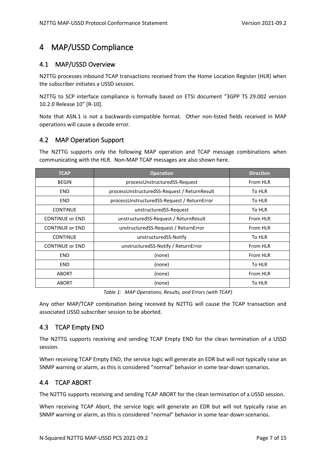# <span id="page-6-0"></span>4 MAP/USSD Compliance

## <span id="page-6-1"></span>4.1 MAP/USSD Overview

N2TTG processes inbound TCAP transactions received from the Home Location Register (HLR) when the subscriber initiates a USSD session.

N2TTG to SCP interface compliance is formally based on ETSI document "3GPP TS 29.002 version 10.2.0 Release 10" [R-10].

Note that ASN.1 is not a backwards-compatible format. Other non-listed fields received in MAP operations will cause a decode error.

# <span id="page-6-2"></span>4.2 MAP Operation Support

The N2TTG supports only the following MAP operation and TCAP message combinations when communicating with the HLR. Non-MAP TCAP messages are also shown here.

| <b>TCAP</b>            | <b>Operation</b>                             | <b>Direction</b> |
|------------------------|----------------------------------------------|------------------|
| <b>BEGIN</b>           | processUnstructuredSS-Request                | From HLR         |
| <b>END</b>             | processUnstructuredSS-Request / ReturnResult | To HLR           |
| <b>END</b>             | processUnstructuredSS-Request / ReturnError  | To HLR           |
| <b>CONTINUE</b>        | unstructuredSS-Request                       | To HLR           |
| <b>CONTINUE or END</b> | unstructuredSS-Request / ReturnResult        | From HLR         |
| <b>CONTINUE or END</b> | unstructuredSS-Request / ReturnError         | From HLR         |
| <b>CONTINUE</b>        | unstructuredSS-Notify                        | To HLR           |
| <b>CONTINUE or END</b> | unstructuredSS-Notify / ReturnError          | From HLR         |
| <b>END</b>             | (none)                                       | From HLR         |
| <b>END</b>             | (none)                                       | To HLR           |
| <b>ABORT</b>           | (none)                                       | From HLR         |
| <b>ABORT</b>           | (none)                                       | To HLR           |

*Table 1: MAP Operations, Results, and Errors (with TCAP)*

Any other MAP/TCAP combination being received by N2TTG will cause the TCAP transaction and associated USSD subscriber session to be aborted.

# <span id="page-6-3"></span>4.3 TCAP Empty END

The N2TTG supports receiving and sending TCAP Empty END for the clean termination of a USSD session.

When receiving TCAP Empty END, the service logic will generate an EDR but will not typically raise an SNMP warning or alarm, as this is considered "normal" behavior in some tear-down scenarios.

# <span id="page-6-4"></span>4.4 TCAP ABORT

The N2TTG supports receiving and sending TCAP ABORT for the clean termination of a USSD session.

When receiving TCAP Abort, the service logic will generate an EDR but will not typically raise an SNMP warning or alarm, as this is considered "normal" behavior in some tear-down scenarios.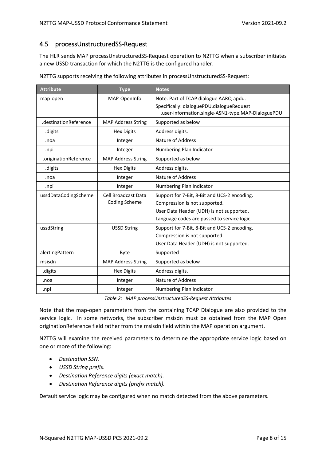## <span id="page-7-0"></span>4.5 processUnstructuredSS-Request

The HLR sends MAP processUnstructuredSS-Request operation to N2TTG when a subscriber initiates a new USSD transaction for which the N2TTG is the configured handler.

| <b>Attribute</b>      | <b>Type</b>                                        | <b>Notes</b>                                                                                    |
|-----------------------|----------------------------------------------------|-------------------------------------------------------------------------------------------------|
| map-open              | MAP-OpenInfo                                       | Note: Part of TCAP dialogue AARQ-apdu.                                                          |
|                       |                                                    | Specifically: dialoguePDU.dialogueRequest<br>.user-information.single-ASN1-type.MAP-DialoguePDU |
| .destinationReference | <b>MAP Address String</b>                          | Supported as below                                                                              |
| .digits               | <b>Hex Digits</b>                                  | Address digits.                                                                                 |
| .noa                  | Integer                                            | <b>Nature of Address</b>                                                                        |
| .npi                  | Integer                                            | Numbering Plan Indicator                                                                        |
| .originationReference | <b>MAP Address String</b>                          | Supported as below                                                                              |
| .digits               | <b>Hex Digits</b>                                  | Address digits.                                                                                 |
| .noa                  | Integer                                            | Nature of Address                                                                               |
| .npi                  | Integer                                            | Numbering Plan Indicator                                                                        |
| ussdDataCodingScheme  | <b>Cell Broadcast Data</b><br><b>Coding Scheme</b> | Support for 7-Bit, 8-Bit and UCS-2 encoding.                                                    |
|                       |                                                    | Compression is not supported.                                                                   |
|                       |                                                    | User Data Header (UDH) is not supported.                                                        |
|                       |                                                    | Language codes are passed to service logic.                                                     |
| ussdString            | <b>USSD String</b>                                 | Support for 7-Bit, 8-Bit and UCS-2 encoding.                                                    |
|                       |                                                    | Compression is not supported.                                                                   |
|                       |                                                    | User Data Header (UDH) is not supported.                                                        |
| alertingPattern       | <b>Byte</b>                                        | Supported                                                                                       |
| msisdn                | <b>MAP Address String</b>                          | Supported as below                                                                              |
| .digits               | <b>Hex Digits</b>                                  | Address digits.                                                                                 |
| .noa                  | Integer                                            | <b>Nature of Address</b>                                                                        |
| .npi                  | Integer                                            | Numbering Plan Indicator                                                                        |

N2TTG supports receiving the following attributes in processUnstructuredSS-Request:

*Table 2: MAP processUnstructuredSS-Request Attributes*

Note that the map-open parameters from the containing TCAP Dialogue are also provided to the service logic. In some networks, the subscriber msisdn must be obtained from the MAP Open originationReference field rather from the msisdn field within the MAP operation argument.

N2TTG will examine the received parameters to determine the appropriate service logic based on one or more of the following:

- *Destination SSN.*
- *USSD String prefix.*
- *Destination Reference digits (exact match).*
- *Destination Reference digits (prefix match).*

Default service logic may be configured when no match detected from the above parameters.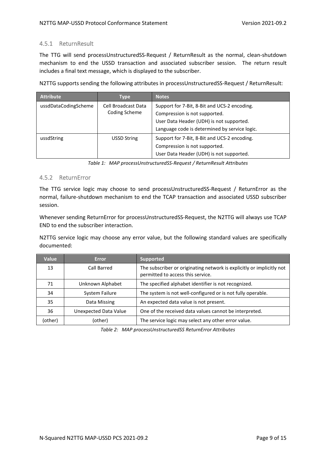#### <span id="page-8-0"></span>4.5.1 ReturnResult

The TTG will send processUnstructuredSS-Request / ReturnResult as the normal, clean-shutdown mechanism to end the USSD transaction and associated subscriber session. The return result includes a final text message, which is displayed to the subscriber.

N2TTG supports sending the following attributes in processUnstructuredSS-Request / ReturnResult:

| <b>Attribute</b>     | Type                                 | <b>Notes</b>                                  |
|----------------------|--------------------------------------|-----------------------------------------------|
| ussdDataCodingScheme | Cell Broadcast Data<br>Coding Scheme | Support for 7-Bit, 8-Bit and UCS-2 encoding.  |
|                      |                                      | Compression is not supported.                 |
|                      |                                      | User Data Header (UDH) is not supported.      |
|                      |                                      | Language code is determined by service logic. |
| ussdString           | <b>USSD String</b>                   | Support for 7-Bit, 8-Bit and UCS-2 encoding.  |
|                      |                                      | Compression is not supported.                 |
|                      |                                      | User Data Header (UDH) is not supported.      |

*Table 1: MAP processUnstructuredSS-Request / ReturnResult Attributes*

#### <span id="page-8-1"></span>4.5.2 ReturnError

The TTG service logic may choose to send processUnstructuredSS-Request / ReturnError as the normal, failure-shutdown mechanism to end the TCAP transaction and associated USSD subscriber session.

Whenever sending ReturnError for processUnstructuredSS-Request, the N2TTG will always use TCAP END to end the subscriber interaction.

N2TTG service logic may choose any error value, but the following standard values are specifically documented:

| <b>Value</b> | <b>Error</b>                 | <b>Supported</b>                                                                                           |
|--------------|------------------------------|------------------------------------------------------------------------------------------------------------|
| 13           | Call Barred                  | The subscriber or originating network is explicitly or implicitly not<br>permitted to access this service. |
| 71           | Unknown Alphabet             | The specified alphabet identifier is not recognized.                                                       |
| 34           | System Failure               | The system is not well-configured or is not fully operable.                                                |
| 35           | Data Missing                 | An expected data value is not present.                                                                     |
| 36           | <b>Unexpected Data Value</b> | One of the received data values cannot be interpreted.                                                     |
| (other)      | (other)                      | The service logic may select any other error value.                                                        |

*Table 2: MAP processUnstructuredSS ReturnError Attributes*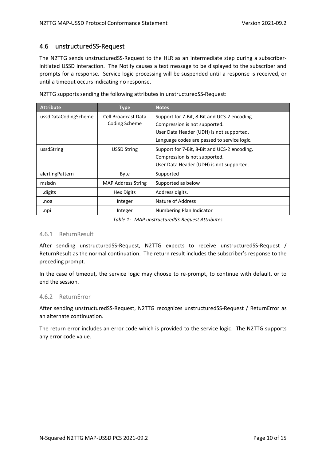#### <span id="page-9-0"></span>4.6 unstructuredSS-Request

The N2TTG sends unstructuredSS-Request to the HLR as an intermediate step during a subscriberinitiated USSD interaction. The Notify causes a text message to be displayed to the subscriber and prompts for a response. Service logic processing will be suspended until a response is received, or until a timeout occurs indicating no response.

| <b>Attribute</b>     | <b>Type</b>               | <b>Notes</b>                                 |
|----------------------|---------------------------|----------------------------------------------|
| ussdDataCodingScheme | Cell Broadcast Data       | Support for 7-Bit, 8-Bit and UCS-2 encoding. |
|                      | Coding Scheme             | Compression is not supported.                |
|                      |                           | User Data Header (UDH) is not supported.     |
|                      |                           | Language codes are passed to service logic.  |
| ussdString           | <b>USSD String</b>        | Support for 7-Bit, 8-Bit and UCS-2 encoding. |
|                      |                           | Compression is not supported.                |
|                      |                           | User Data Header (UDH) is not supported.     |
| alertingPattern      | Byte                      | Supported                                    |
| msisdn               | <b>MAP Address String</b> | Supported as below                           |
| .digits              | Hex Digits                | Address digits.                              |
| .noa                 | Integer                   | Nature of Address                            |
| .npi                 | Integer                   | Numbering Plan Indicator                     |

N2TTG supports sending the following attributes in unstructuredSS-Request:

*Table 1: MAP unstructuredSS-Request Attributes*

#### <span id="page-9-1"></span>4.6.1 ReturnResult

After sending unstructuredSS-Request, N2TTG expects to receive unstructuredSS-Request / ReturnResult as the normal continuation. The return result includes the subscriber's response to the preceding prompt.

In the case of timeout, the service logic may choose to re-prompt, to continue with default, or to end the session.

#### <span id="page-9-2"></span>4.6.2 ReturnError

After sending unstructuredSS-Request, N2TTG recognizes unstructuredSS-Request / ReturnError as an alternate continuation.

The return error includes an error code which is provided to the service logic. The N2TTG supports any error code value.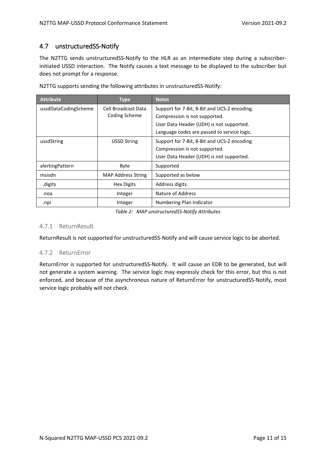## <span id="page-10-0"></span>4.7 unstructuredSS-Notify

The N2TTG sends unstructuredSS-Notify to the HLR as an intermediate step during a subscriberinitiated USSD interaction. The Notify causes a text message to be displayed to the subscriber but does not prompt for a response.

| <b>Attribute</b>     | <b>Type</b>               | <b>Notes</b>                                 |
|----------------------|---------------------------|----------------------------------------------|
| ussdDataCodingScheme | Cell Broadcast Data       | Support for 7-Bit, 8-Bit and UCS-2 encoding. |
|                      | Coding Scheme             | Compression is not supported.                |
|                      |                           | User Data Header (UDH) is not supported.     |
|                      |                           | Language codes are passed to service logic.  |
| ussdString           | <b>USSD String</b>        | Support for 7-Bit, 8-Bit and UCS-2 encoding. |
|                      |                           | Compression is not supported.                |
|                      |                           | User Data Header (UDH) is not supported.     |
| alertingPattern      | Byte                      | Supported                                    |
| msisdn               | <b>MAP Address String</b> | Supported as below                           |
| digits.              | <b>Hex Digits</b>         | Address digits.                              |
| .noa                 | Integer                   | Nature of Address                            |
| .npi                 | Integer                   | Numbering Plan Indicator                     |

N2TTG supports sending the following attributes in unstructuredSS-Notify:

*Table 2: MAP unstructuredSS-Notify Attributes*

#### <span id="page-10-1"></span>4.7.1 ReturnResult

ReturnResult is not supported for unstructuredSS-Notify and will cause service logic to be aborted.

#### <span id="page-10-2"></span>4.7.2 ReturnError

ReturnError is supported for unstructuredSS-Notify. It will cause an EDR to be generated, but will not generate a system warning. The service logic may expressly check for this error, but this is not enforced, and because of the asynchronous nature of ReturnError for unstructuredSS-Notify, most service logic probably will not check.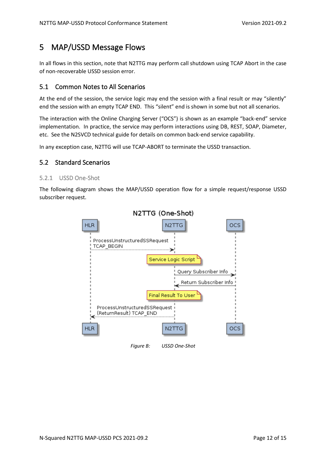# <span id="page-11-0"></span>5 MAP/USSD Message Flows

In all flows in this section, note that N2TTG may perform call shutdown using TCAP Abort in the case of non-recoverable USSD session error.

### <span id="page-11-1"></span>5.1 Common Notes to All Scenarios

At the end of the session, the service logic may end the session with a final result or may "silently" end the session with an empty TCAP END. This "silent" end is shown in some but not all scenarios.

The interaction with the Online Charging Server ("OCS") is shown as an example "back-end" service implementation. In practice, the service may perform interactions using DB, REST, SOAP, Diameter, etc. See the N2SVCD technical guide for details on common back-end service capability.

In any exception case, N2TTG will use TCAP-ABORT to terminate the USSD transaction.

### <span id="page-11-2"></span>5.2 Standard Scenarios

#### <span id="page-11-3"></span>5.2.1 USSD One-Shot

The following diagram shows the MAP/USSD operation flow for a simple request/response USSD subscriber request.

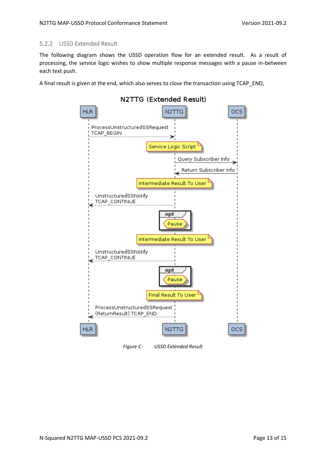#### <span id="page-12-0"></span>5.2.2 USSD Extended Result

The following diagram shows the USSD operation flow for an extended result. As a result of processing, the service logic wishes to show multiple response messages with a pause in-between each text push.

A final result is given at the end, which also serves to close the transaction using TCAP\_END,



*Figure C: USSD Extended Result*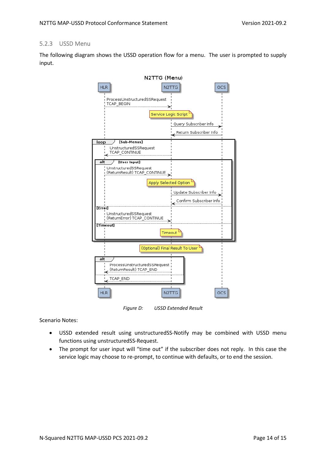#### <span id="page-13-0"></span>5.2.3 USSD Menu

The following diagram shows the USSD operation flow for a menu. The user is prompted to supply input.



*Figure D: USSD Extended Result*

Scenario Notes:

- USSD extended result using unstructuredSS-Notify may be combined with USSD menu functions using unstructuredSS-Request.
- The prompt for user input will "time out" if the subscriber does not reply. In this case the service logic may choose to re-prompt, to continue with defaults, or to end the session.